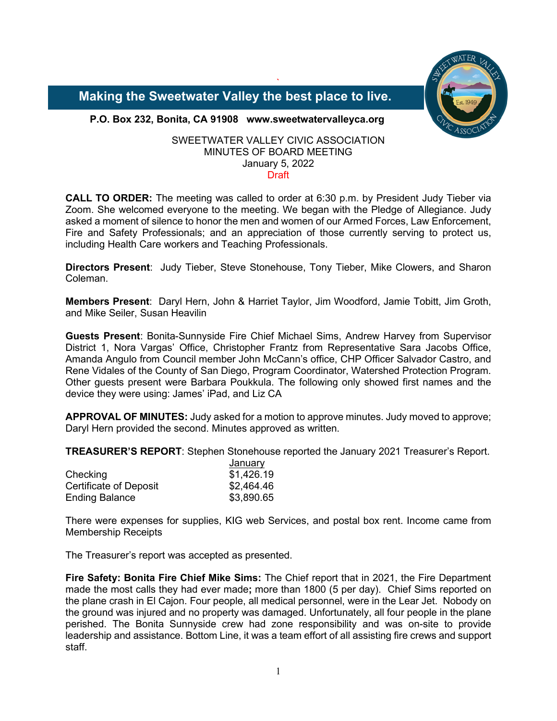

 **Making the Sweetwater Valley the best place to live.**

**P.O. Box 232, Bonita, CA 91908 www.sweetwatervalleyca.org**

### SWEETWATER VALLEY CIVIC ASSOCIATION MINUTES OF BOARD MEETING January 5, 2022 **Draft**

`

**CALL TO ORDER:** The meeting was called to order at 6:30 p.m. by President Judy Tieber via Zoom. She welcomed everyone to the meeting. We began with the Pledge of Allegiance. Judy asked a moment of silence to honor the men and women of our Armed Forces, Law Enforcement, Fire and Safety Professionals; and an appreciation of those currently serving to protect us, including Health Care workers and Teaching Professionals.

**Directors Present**: Judy Tieber, Steve Stonehouse, Tony Tieber, Mike Clowers, and Sharon Coleman.

**Members Present**: Daryl Hern, John & Harriet Taylor, Jim Woodford, Jamie Tobitt, Jim Groth, and Mike Seiler, Susan Heavilin

**Guests Present**: Bonita-Sunnyside Fire Chief Michael Sims, Andrew Harvey from Supervisor District 1, Nora Vargas' Office, Christopher Frantz from Representative Sara Jacobs Office, Amanda Angulo from Council member John McCann's office, CHP Officer Salvador Castro, and Rene Vidales of the County of San Diego, Program Coordinator, Watershed Protection Program. Other guests present were Barbara Poukkula. The following only showed first names and the device they were using: James' iPad, and Liz CA

**APPROVAL OF MINUTES:** Judy asked for a motion to approve minutes. Judy moved to approve; Daryl Hern provided the second. Minutes approved as written.

**TREASURER'S REPORT**: Stephen Stonehouse reported the January 2021 Treasurer's Report.

|                        | January    |
|------------------------|------------|
| Checking               | \$1,426.19 |
| Certificate of Deposit | \$2,464.46 |
| <b>Ending Balance</b>  | \$3,890.65 |

There were expenses for supplies, KIG web Services, and postal box rent. Income came from Membership Receipts

The Treasurer's report was accepted as presented.

**Fire Safety: Bonita Fire Chief Mike Sims:** The Chief report that in 2021, the Fire Department made the most calls they had ever made**;** more than 1800 (5 per day). Chief Sims reported on the plane crash in El Cajon. Four people, all medical personnel, were in the Lear Jet. Nobody on the ground was injured and no property was damaged. Unfortunately, all four people in the plane perished. The Bonita Sunnyside crew had zone responsibility and was on-site to provide leadership and assistance. Bottom Line, it was a team effort of all assisting fire crews and support staff.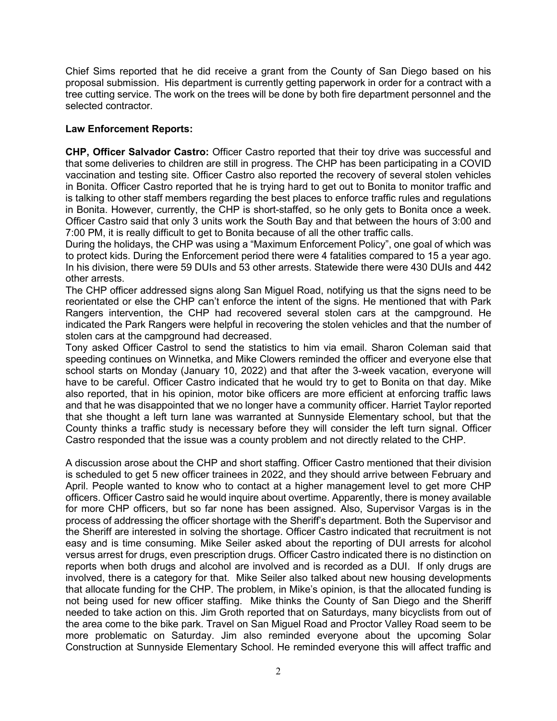Chief Sims reported that he did receive a grant from the County of San Diego based on his proposal submission. His department is currently getting paperwork in order for a contract with a tree cutting service. The work on the trees will be done by both fire department personnel and the selected contractor.

# **Law Enforcement Reports:**

**CHP, Officer Salvador Castro:** Officer Castro reported that their toy drive was successful and that some deliveries to children are still in progress. The CHP has been participating in a COVID vaccination and testing site. Officer Castro also reported the recovery of several stolen vehicles in Bonita. Officer Castro reported that he is trying hard to get out to Bonita to monitor traffic and is talking to other staff members regarding the best places to enforce traffic rules and regulations in Bonita. However, currently, the CHP is short-staffed, so he only gets to Bonita once a week. Officer Castro said that only 3 units work the South Bay and that between the hours of 3:00 and 7:00 PM, it is really difficult to get to Bonita because of all the other traffic calls.

During the holidays, the CHP was using a "Maximum Enforcement Policy", one goal of which was to protect kids. During the Enforcement period there were 4 fatalities compared to 15 a year ago. In his division, there were 59 DUIs and 53 other arrests. Statewide there were 430 DUIs and 442 other arrests.

The CHP officer addressed signs along San Miguel Road, notifying us that the signs need to be reorientated or else the CHP can't enforce the intent of the signs. He mentioned that with Park Rangers intervention, the CHP had recovered several stolen cars at the campground. He indicated the Park Rangers were helpful in recovering the stolen vehicles and that the number of stolen cars at the campground had decreased.

Tony asked Officer Castrol to send the statistics to him via email. Sharon Coleman said that speeding continues on Winnetka, and Mike Clowers reminded the officer and everyone else that school starts on Monday (January 10, 2022) and that after the 3-week vacation, everyone will have to be careful. Officer Castro indicated that he would try to get to Bonita on that day. Mike also reported, that in his opinion, motor bike officers are more efficient at enforcing traffic laws and that he was disappointed that we no longer have a community officer. Harriet Taylor reported that she thought a left turn lane was warranted at Sunnyside Elementary school, but that the County thinks a traffic study is necessary before they will consider the left turn signal. Officer Castro responded that the issue was a county problem and not directly related to the CHP.

A discussion arose about the CHP and short staffing. Officer Castro mentioned that their division is scheduled to get 5 new officer trainees in 2022, and they should arrive between February and April. People wanted to know who to contact at a higher management level to get more CHP officers. Officer Castro said he would inquire about overtime. Apparently, there is money available for more CHP officers, but so far none has been assigned. Also, Supervisor Vargas is in the process of addressing the officer shortage with the Sheriff's department. Both the Supervisor and the Sheriff are interested in solving the shortage. Officer Castro indicated that recruitment is not easy and is time consuming. Mike Seiler asked about the reporting of DUI arrests for alcohol versus arrest for drugs, even prescription drugs. Officer Castro indicated there is no distinction on reports when both drugs and alcohol are involved and is recorded as a DUI. If only drugs are involved, there is a category for that. Mike Seiler also talked about new housing developments that allocate funding for the CHP. The problem, in Mike's opinion, is that the allocated funding is not being used for new officer staffing. Mike thinks the County of San Diego and the Sheriff needed to take action on this. Jim Groth reported that on Saturdays, many bicyclists from out of the area come to the bike park. Travel on San Miguel Road and Proctor Valley Road seem to be more problematic on Saturday. Jim also reminded everyone about the upcoming Solar Construction at Sunnyside Elementary School. He reminded everyone this will affect traffic and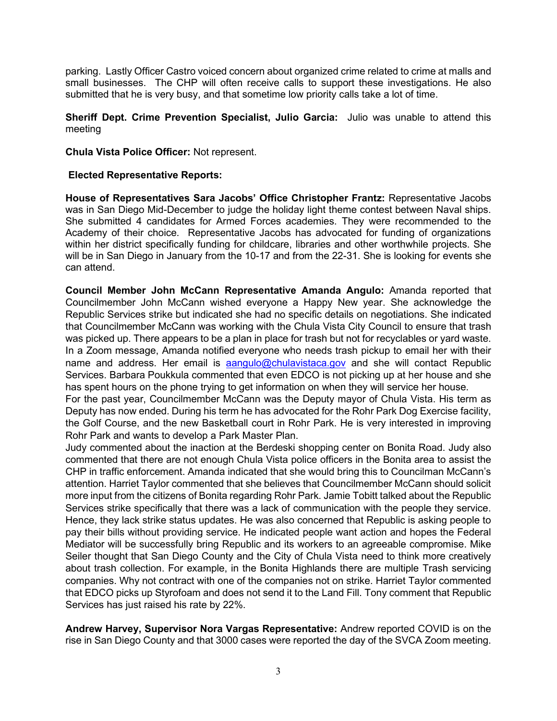parking. Lastly Officer Castro voiced concern about organized crime related to crime at malls and small businesses. The CHP will often receive calls to support these investigations. He also submitted that he is very busy, and that sometime low priority calls take a lot of time.

**Sheriff Dept. Crime Prevention Specialist, Julio Garcia:** Julio was unable to attend this meeting

**Chula Vista Police Officer:** Not represent.

## **Elected Representative Reports:**

**House of Representatives Sara Jacobs' Office Christopher Frantz:** Representative Jacobs was in San Diego Mid-December to judge the holiday light theme contest between Naval ships. She submitted 4 candidates for Armed Forces academies. They were recommended to the Academy of their choice. Representative Jacobs has advocated for funding of organizations within her district specifically funding for childcare, libraries and other worthwhile projects. She will be in San Diego in January from the 10-17 and from the 22-31. She is looking for events she can attend.

**Council Member John McCann Representative Amanda Angulo:** Amanda reported that Councilmember John McCann wished everyone a Happy New year. She acknowledge the Republic Services strike but indicated she had no specific details on negotiations. She indicated that Councilmember McCann was working with the Chula Vista City Council to ensure that trash was picked up. There appears to be a plan in place for trash but not for recyclables or yard waste. In a Zoom message, Amanda notified everyone who needs trash pickup to email her with their name and address. Her email is [aangulo@chulavistaca.gov](mailto:aangulo@chulavistaca.gov) and she will contact Republic Services. Barbara Poukkula commented that even EDCO is not picking up at her house and she has spent hours on the phone trying to get information on when they will service her house.

For the past year, Councilmember McCann was the Deputy mayor of Chula Vista. His term as Deputy has now ended. During his term he has advocated for the Rohr Park Dog Exercise facility, the Golf Course, and the new Basketball court in Rohr Park. He is very interested in improving Rohr Park and wants to develop a Park Master Plan.

Judy commented about the inaction at the Berdeski shopping center on Bonita Road. Judy also commented that there are not enough Chula Vista police officers in the Bonita area to assist the CHP in traffic enforcement. Amanda indicated that she would bring this to Councilman McCann's attention. Harriet Taylor commented that she believes that Councilmember McCann should solicit more input from the citizens of Bonita regarding Rohr Park. Jamie Tobitt talked about the Republic Services strike specifically that there was a lack of communication with the people they service. Hence, they lack strike status updates. He was also concerned that Republic is asking people to pay their bills without providing service. He indicated people want action and hopes the Federal Mediator will be successfully bring Republic and its workers to an agreeable compromise. Mike Seiler thought that San Diego County and the City of Chula Vista need to think more creatively about trash collection. For example, in the Bonita Highlands there are multiple Trash servicing companies. Why not contract with one of the companies not on strike. Harriet Taylor commented that EDCO picks up Styrofoam and does not send it to the Land Fill. Tony comment that Republic Services has just raised his rate by 22%.

**Andrew Harvey, Supervisor Nora Vargas Representative:** Andrew reported COVID is on the rise in San Diego County and that 3000 cases were reported the day of the SVCA Zoom meeting.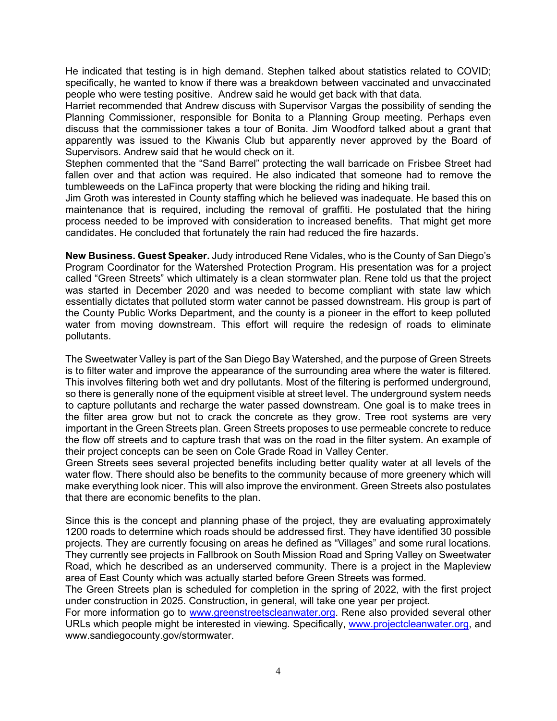He indicated that testing is in high demand. Stephen talked about statistics related to COVID; specifically, he wanted to know if there was a breakdown between vaccinated and unvaccinated people who were testing positive. Andrew said he would get back with that data.

Harriet recommended that Andrew discuss with Supervisor Vargas the possibility of sending the Planning Commissioner, responsible for Bonita to a Planning Group meeting. Perhaps even discuss that the commissioner takes a tour of Bonita. Jim Woodford talked about a grant that apparently was issued to the Kiwanis Club but apparently never approved by the Board of Supervisors. Andrew said that he would check on it.

Stephen commented that the "Sand Barrel" protecting the wall barricade on Frisbee Street had fallen over and that action was required. He also indicated that someone had to remove the tumbleweeds on the LaFinca property that were blocking the riding and hiking trail.

Jim Groth was interested in County staffing which he believed was inadequate. He based this on maintenance that is required, including the removal of graffiti. He postulated that the hiring process needed to be improved with consideration to increased benefits. That might get more candidates. He concluded that fortunately the rain had reduced the fire hazards.

**New Business. Guest Speaker.** Judy introduced Rene Vidales, who is the County of San Diego's Program Coordinator for the Watershed Protection Program. His presentation was for a project called "Green Streets" which ultimately is a clean stormwater plan. Rene told us that the project was started in December 2020 and was needed to become compliant with state law which essentially dictates that polluted storm water cannot be passed downstream. His group is part of the County Public Works Department, and the county is a pioneer in the effort to keep polluted water from moving downstream. This effort will require the redesign of roads to eliminate pollutants.

The Sweetwater Valley is part of the San Diego Bay Watershed, and the purpose of Green Streets is to filter water and improve the appearance of the surrounding area where the water is filtered. This involves filtering both wet and dry pollutants. Most of the filtering is performed underground, so there is generally none of the equipment visible at street level. The underground system needs to capture pollutants and recharge the water passed downstream. One goal is to make trees in the filter area grow but not to crack the concrete as they grow. Tree root systems are very important in the Green Streets plan. Green Streets proposes to use permeable concrete to reduce the flow off streets and to capture trash that was on the road in the filter system. An example of their project concepts can be seen on Cole Grade Road in Valley Center.

Green Streets sees several projected benefits including better quality water at all levels of the water flow. There should also be benefits to the community because of more greenery which will make everything look nicer. This will also improve the environment. Green Streets also postulates that there are economic benefits to the plan.

Since this is the concept and planning phase of the project, they are evaluating approximately 1200 roads to determine which roads should be addressed first. They have identified 30 possible projects. They are currently focusing on areas he defined as "Villages" and some rural locations. They currently see projects in Fallbrook on South Mission Road and Spring Valley on Sweetwater Road, which he described as an underserved community. There is a project in the Mapleview area of East County which was actually started before Green Streets was formed.

The Green Streets plan is scheduled for completion in the spring of 2022, with the first project under construction in 2025. Construction, in general, will take one year per project.

For more information go to [www.greenstreetscleanwater.org.](http://www.greenstreetscleanwater.org/) Rene also provided several other URLs which people might be interested in viewing. Specifically, [www.projectcleanwater.org,](http://www.projectcleanwater.org/) and www.sandiegocounty.gov/stormwater.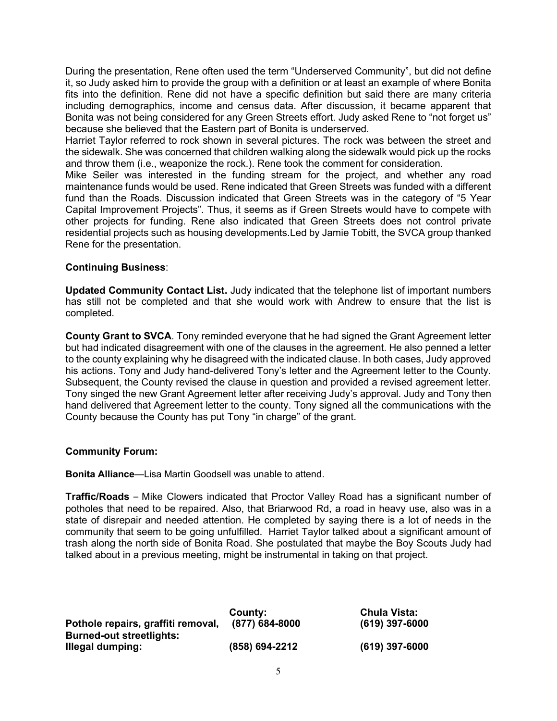During the presentation, Rene often used the term "Underserved Community", but did not define it, so Judy asked him to provide the group with a definition or at least an example of where Bonita fits into the definition. Rene did not have a specific definition but said there are many criteria including demographics, income and census data. After discussion, it became apparent that Bonita was not being considered for any Green Streets effort. Judy asked Rene to "not forget us" because she believed that the Eastern part of Bonita is underserved.

Harriet Taylor referred to rock shown in several pictures. The rock was between the street and the sidewalk. She was concerned that children walking along the sidewalk would pick up the rocks and throw them (i.e., weaponize the rock.). Rene took the comment for consideration.

Mike Seiler was interested in the funding stream for the project, and whether any road maintenance funds would be used. Rene indicated that Green Streets was funded with a different fund than the Roads. Discussion indicated that Green Streets was in the category of "5 Year Capital Improvement Projects". Thus, it seems as if Green Streets would have to compete with other projects for funding. Rene also indicated that Green Streets does not control private residential projects such as housing developments.Led by Jamie Tobitt, the SVCA group thanked Rene for the presentation.

# **Continuing Business**:

**Updated Community Contact List.** Judy indicated that the telephone list of important numbers has still not be completed and that she would work with Andrew to ensure that the list is completed.

**County Grant to SVCA**. Tony reminded everyone that he had signed the Grant Agreement letter but had indicated disagreement with one of the clauses in the agreement. He also penned a letter to the county explaining why he disagreed with the indicated clause. In both cases, Judy approved his actions. Tony and Judy hand-delivered Tony's letter and the Agreement letter to the County. Subsequent, the County revised the clause in question and provided a revised agreement letter. Tony singed the new Grant Agreement letter after receiving Judy's approval. Judy and Tony then hand delivered that Agreement letter to the county. Tony signed all the communications with the County because the County has put Tony "in charge" of the grant.

# **Community Forum:**

**Bonita Alliance**—Lisa Martin Goodsell was unable to attend.

**Traffic/Roads** – Mike Clowers indicated that Proctor Valley Road has a significant number of potholes that need to be repaired. Also, that Briarwood Rd, a road in heavy use, also was in a state of disrepair and needed attention. He completed by saying there is a lot of needs in the community that seem to be going unfulfilled. Harriet Taylor talked about a significant amount of trash along the north side of Bonita Road. She postulated that maybe the Boy Scouts Judy had talked about in a previous meeting, might be instrumental in taking on that project.

|                                    | County:        | <b>Chula Vista:</b> |
|------------------------------------|----------------|---------------------|
| Pothole repairs, graffiti removal, | (877) 684-8000 | $(619)$ 397-6000    |
| <b>Burned-out streetlights:</b>    |                |                     |
| Illegal dumping:                   | (858) 694-2212 | $(619)$ 397-6000    |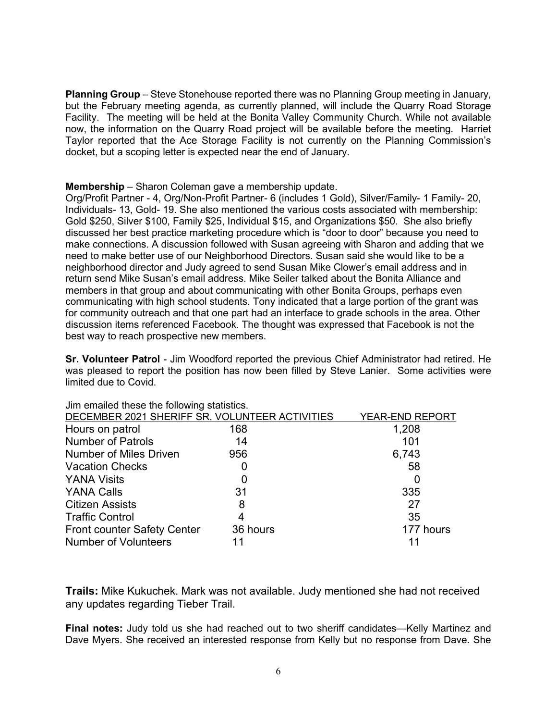**Planning Group** – Steve Stonehouse reported there was no Planning Group meeting in January, but the February meeting agenda, as currently planned, will include the Quarry Road Storage Facility. The meeting will be held at the Bonita Valley Community Church. While not available now, the information on the Quarry Road project will be available before the meeting. Harriet Taylor reported that the Ace Storage Facility is not currently on the Planning Commission's docket, but a scoping letter is expected near the end of January.

**Membership** – Sharon Coleman gave a membership update.

Org/Profit Partner - 4, Org/Non-Profit Partner- 6 (includes 1 Gold), Silver/Family- 1 Family- 20, Individuals- 13, Gold- 19. She also mentioned the various costs associated with membership: Gold \$250, Silver \$100, Family \$25, Individual \$15, and Organizations \$50. She also briefly discussed her best practice marketing procedure which is "door to door" because you need to make connections. A discussion followed with Susan agreeing with Sharon and adding that we need to make better use of our Neighborhood Directors. Susan said she would like to be a neighborhood director and Judy agreed to send Susan Mike Clower's email address and in return send Mike Susan's email address. Mike Seiler talked about the Bonita Alliance and members in that group and about communicating with other Bonita Groups, perhaps even communicating with high school students. Tony indicated that a large portion of the grant was for community outreach and that one part had an interface to grade schools in the area. Other discussion items referenced Facebook. The thought was expressed that Facebook is not the best way to reach prospective new members.

**Sr. Volunteer Patrol** - Jim Woodford reported the previous Chief Administrator had retired. He was pleased to report the position has now been filled by Steve Lanier. Some activities were limited due to Covid.

|                                                | <u>unn union mode</u> mid rundining didnomodi |                        |  |  |
|------------------------------------------------|-----------------------------------------------|------------------------|--|--|
| DECEMBER 2021 SHERIFF SR. VOLUNTEER ACTIVITIES |                                               | <b>YEAR-END REPORT</b> |  |  |
| Hours on patrol                                | 168                                           | 1,208                  |  |  |
| <b>Number of Patrols</b>                       | 14                                            | 101                    |  |  |
| <b>Number of Miles Driven</b>                  | 956                                           | 6,743                  |  |  |
| <b>Vacation Checks</b>                         |                                               | 58                     |  |  |
| <b>YANA Visits</b>                             |                                               |                        |  |  |
| <b>YANA Calls</b>                              | 31                                            | 335                    |  |  |
| <b>Citizen Assists</b>                         | 8                                             | 27                     |  |  |
| <b>Traffic Control</b>                         |                                               | 35                     |  |  |
| Front counter Safety Center                    | 36 hours                                      | 177 hours              |  |  |
| <b>Number of Volunteers</b>                    |                                               | 11                     |  |  |
|                                                |                                               |                        |  |  |

Jim emailed these the following statistics.

**Trails:** Mike Kukuchek. Mark was not available. Judy mentioned she had not received any updates regarding Tieber Trail.

**Final notes:** Judy told us she had reached out to two sheriff candidates—Kelly Martinez and Dave Myers. She received an interested response from Kelly but no response from Dave. She